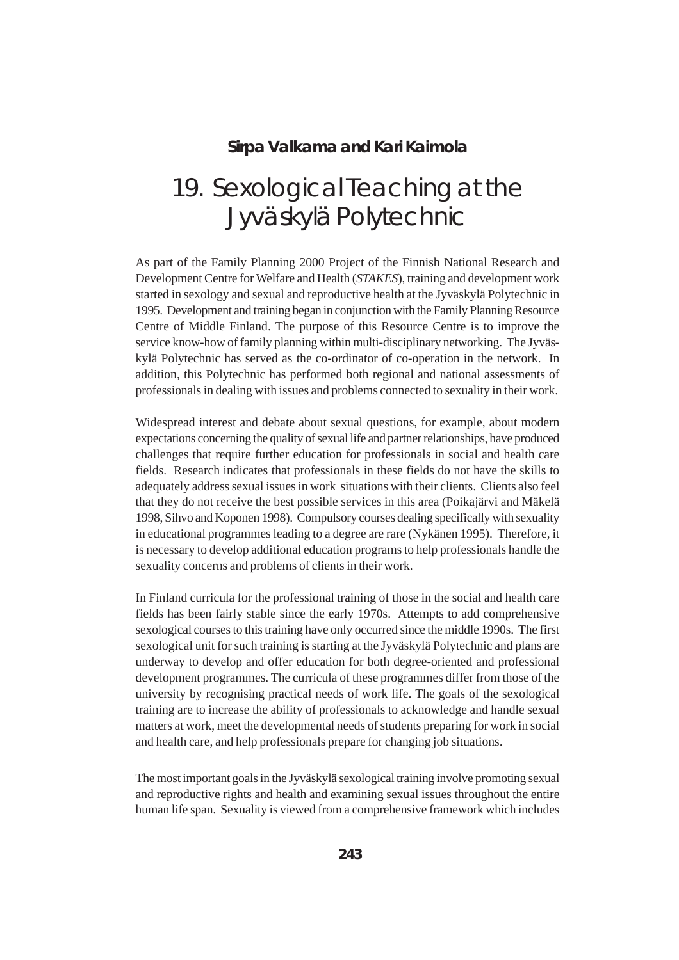## **Sirpa Valkama and Kari Kaimola**

## 19. Sexological Teaching at the Jyväskylä Polytechnic

As part of the Family Planning 2000 Project of the Finnish National Research and Development Centre for Welfare and Health (*STAKES*), training and development work started in sexology and sexual and reproductive health at the Jyväskylä Polytechnic in 1995. Development and training began in conjunction with the Family Planning Resource Centre of Middle Finland. The purpose of this Resource Centre is to improve the service know-how of family planning within multi-disciplinary networking. The Jyväskylä Polytechnic has served as the co-ordinator of co-operation in the network. In addition, this Polytechnic has performed both regional and national assessments of professionals in dealing with issues and problems connected to sexuality in their work.

Widespread interest and debate about sexual questions, for example, about modern expectations concerning the quality of sexual life and partner relationships, have produced challenges that require further education for professionals in social and health care fields. Research indicates that professionals in these fields do not have the skills to adequately address sexual issues in work situations with their clients. Clients also feel that they do not receive the best possible services in this area (Poikajärvi and Mäkelä 1998, Sihvo and Koponen 1998). Compulsory courses dealing specifically with sexuality in educational programmes leading to a degree are rare (Nykänen 1995). Therefore, it is necessary to develop additional education programs to help professionals handle the sexuality concerns and problems of clients in their work.

In Finland curricula for the professional training of those in the social and health care fields has been fairly stable since the early 1970s. Attempts to add comprehensive sexological courses to this training have only occurred since the middle 1990s. The first sexological unit for such training is starting at the Jyväskylä Polytechnic and plans are underway to develop and offer education for both degree-oriented and professional development programmes. The curricula of these programmes differ from those of the university by recognising practical needs of work life. The goals of the sexological training are to increase the ability of professionals to acknowledge and handle sexual matters at work, meet the developmental needs of students preparing for work in social and health care, and help professionals prepare for changing job situations.

The most important goals in the Jyväskylä sexological training involve promoting sexual and reproductive rights and health and examining sexual issues throughout the entire human life span. Sexuality is viewed from a comprehensive framework which includes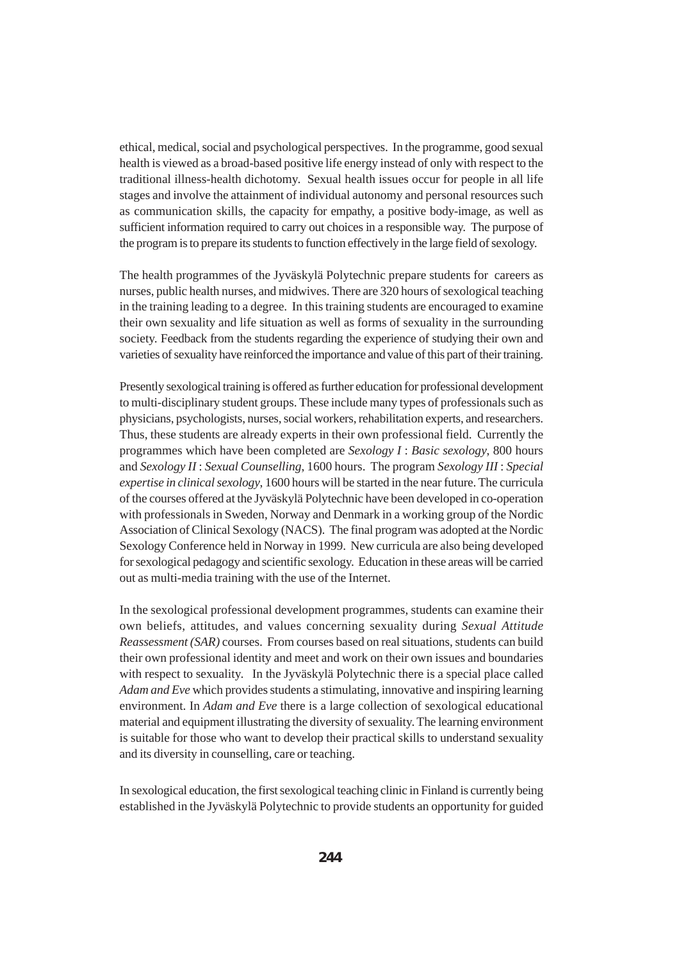ethical, medical, social and psychological perspectives. In the programme, good sexual health is viewed as a broad-based positive life energy instead of only with respect to the traditional illness-health dichotomy. Sexual health issues occur for people in all life stages and involve the attainment of individual autonomy and personal resources such as communication skills, the capacity for empathy, a positive body-image, as well as sufficient information required to carry out choices in a responsible way. The purpose of the program is to prepare its students to function effectively in the large field of sexology.

The health programmes of the Jyväskylä Polytechnic prepare students for careers as nurses, public health nurses, and midwives. There are 320 hours of sexological teaching in the training leading to a degree. In this training students are encouraged to examine their own sexuality and life situation as well as forms of sexuality in the surrounding society. Feedback from the students regarding the experience of studying their own and varieties of sexuality have reinforced the importance and value of this part of their training.

Presently sexological training is offered as further education for professional development to multi-disciplinary student groups. These include many types of professionals such as physicians, psychologists, nurses, social workers, rehabilitation experts, and researchers. Thus, these students are already experts in their own professional field. Currently the programmes which have been completed are *Sexology I* : *Basic sexology*, 800 hours and *Sexology II* : *Sexual Counselling*, 1600 hours. The program *Sexology III* : *Special expertise in clinical sexology*, 1600 hours will be started in the near future. The curricula of the courses offered at the Jyväskylä Polytechnic have been developed in co-operation with professionals in Sweden, Norway and Denmark in a working group of the Nordic Association of Clinical Sexology (NACS). The final program was adopted at the Nordic Sexology Conference held in Norway in 1999. New curricula are also being developed for sexological pedagogy and scientific sexology. Education in these areas will be carried out as multi-media training with the use of the Internet.

In the sexological professional development programmes, students can examine their own beliefs, attitudes, and values concerning sexuality during *Sexual Attitude Reassessment (SAR)* courses. From courses based on real situations, students can build their own professional identity and meet and work on their own issues and boundaries with respect to sexuality. In the Jyväskylä Polytechnic there is a special place called *Adam and Eve* which provides students a stimulating, innovative and inspiring learning environment. In *Adam and Eve* there is a large collection of sexological educational material and equipment illustrating the diversity of sexuality. The learning environment is suitable for those who want to develop their practical skills to understand sexuality and its diversity in counselling, care or teaching.

In sexological education, the first sexological teaching clinic in Finland is currently being established in the Jyväskylä Polytechnic to provide students an opportunity for guided